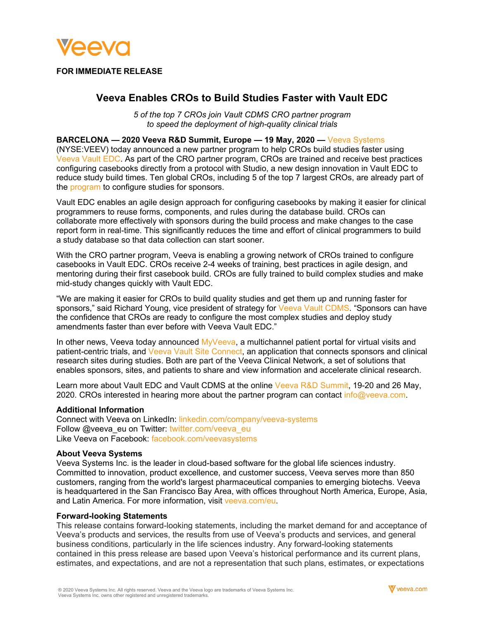

## **FOR IMMEDIATE RELEASE**

# **Veeva Enables CROs to Build Studies Faster with Vault EDC**

*5 of the top 7 CROs join Vault CDMS CRO partner program to speed the deployment of high-quality clinical trials*

## **BARCELONA — 2020 Veeva R&D Summit, Europe — 19 May, 2020 —** [Veeva Systems](https://www.veeva.com/eu)

(NYSE:VEEV) today announced a new partner program to help CROs build studies faster using [Veeva Vault EDC.](https://www.veeva.com/eu/products/vault-edc/) As part of the CRO partner program, CROs are trained and receive best practices configuring casebooks directly from a protocol with Studio, a new design innovation in Vault EDC to reduce study build times. Ten global CROs, including 5 of the top 7 largest CROs, are already part of the [program](https://www.veeva.com/eu/meet-veeva/partners/cro/) to configure studies for sponsors.

Vault EDC enables an agile design approach for configuring casebooks by making it easier for clinical programmers to reuse forms, components, and rules during the database build. CROs can collaborate more effectively with sponsors during the build process and make changes to the case report form in real-time. This significantly reduces the time and effort of clinical programmers to build a study database so that data collection can start sooner.

With the CRO partner program, Veeva is enabling a growing network of CROs trained to configure casebooks in Vault EDC. CROs receive 2-4 weeks of training, best practices in agile design, and mentoring during their first casebook build. CROs are fully trained to build complex studies and make mid-study changes quickly with Vault EDC.

"We are making it easier for CROs to build quality studies and get them up and running faster for sponsors," said Richard Young, vice president of strategy for [Veeva Vault CDMS.](https://www.veeva.com/eu/products/clinical-data-management/) "Sponsors can have the confidence that CROs are ready to configure the most complex studies and deploy study amendments faster than ever before with Veeva Vault EDC."

In other news, Veeva today announced  $M_VV$ eeva, a multichannel patient portal for virtual visits and patient-centric trials, an[d Veeva Vault Site Connect,](http://www.veeva.com/eu/resources/veeva-announces-vault-site-connect-to-automate-information-sharing-in-clinical-trials/) an application that connects sponsors and clinical research sites during studies. Both are part of the Veeva Clinical Network, a set of solutions that enables sponsors, sites, and patients to share and view information and accelerate clinical research.

Learn more about Vault EDC and Vault CDMS at the online [Veeva R&D Summit,](https://www.veeva.com/eu/events/rd-summit/) 19-20 and 26 May, 2020. CROs interested in hearing more about the partner program can contact [info@veeva.com.](mailto:info@veeva.com)

#### **Additional Information**

Connect with Veeva on LinkedIn: [linkedin.com/company/veeva-systems](http://www.linkedin.com/company/veeva-systems) Follow @veeva\_eu on Twitter: [twitter.com/veeva\\_eu](https://twitter.com/veeva_eu) Like Veeva on Facebook: [facebook.com/veevasystems](https://www.facebook.com/VeevaSystems)

#### **About Veeva Systems**

Veeva Systems Inc. is the leader in cloud-based software for the global life sciences industry. Committed to innovation, product excellence, and customer success, Veeva serves more than 850 customers, ranging from the world's largest pharmaceutical companies to emerging biotechs. Veeva is headquartered in the San Francisco Bay Area, with offices throughout North America, Europe, Asia, and Latin America. For more information, visit [veeva.com/eu.](https://www.veeva.com/eu/)

#### **Forward-looking Statements**

This release contains forward-looking statements, including the market demand for and acceptance of Veeva's products and services, the results from use of Veeva's products and services, and general business conditions, particularly in the life sciences industry. Any forward-looking statements contained in this press release are based upon Veeva's historical performance and its current plans, estimates, and expectations, and are not a representation that such plans, estimates, or expectations